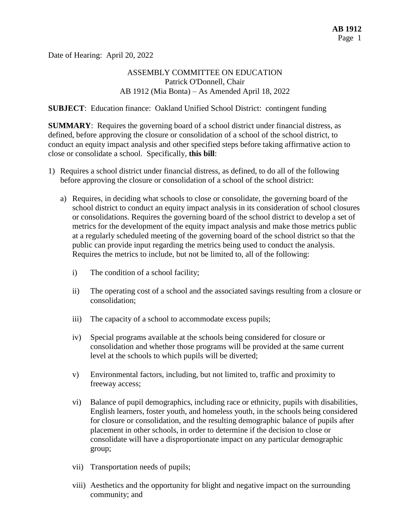Date of Hearing: April 20, 2022

# ASSEMBLY COMMITTEE ON EDUCATION Patrick O'Donnell, Chair AB 1912 (Mia Bonta) – As Amended April 18, 2022

**SUBJECT**: Education finance: Oakland Unified School District: contingent funding

**SUMMARY**: Requires the governing board of a school district under financial distress, as defined, before approving the closure or consolidation of a school of the school district, to conduct an equity impact analysis and other specified steps before taking affirmative action to close or consolidate a school. Specifically, **this bill**:

- 1) Requires a school district under financial distress, as defined, to do all of the following before approving the closure or consolidation of a school of the school district:
	- a) Requires, in deciding what schools to close or consolidate, the governing board of the school district to conduct an equity impact analysis in its consideration of school closures or consolidations. Requires the governing board of the school district to develop a set of metrics for the development of the equity impact analysis and make those metrics public at a regularly scheduled meeting of the governing board of the school district so that the public can provide input regarding the metrics being used to conduct the analysis. Requires the metrics to include, but not be limited to, all of the following:
		- i) The condition of a school facility;
		- ii) The operating cost of a school and the associated savings resulting from a closure or consolidation;
		- iii) The capacity of a school to accommodate excess pupils;
		- iv) Special programs available at the schools being considered for closure or consolidation and whether those programs will be provided at the same current level at the schools to which pupils will be diverted;
		- v) Environmental factors, including, but not limited to, traffic and proximity to freeway access;
		- vi) Balance of pupil demographics, including race or ethnicity, pupils with disabilities, English learners, foster youth, and homeless youth, in the schools being considered for closure or consolidation, and the resulting demographic balance of pupils after placement in other schools, in order to determine if the decision to close or consolidate will have a disproportionate impact on any particular demographic group;
		- vii) Transportation needs of pupils;
		- viii) Aesthetics and the opportunity for blight and negative impact on the surrounding community; and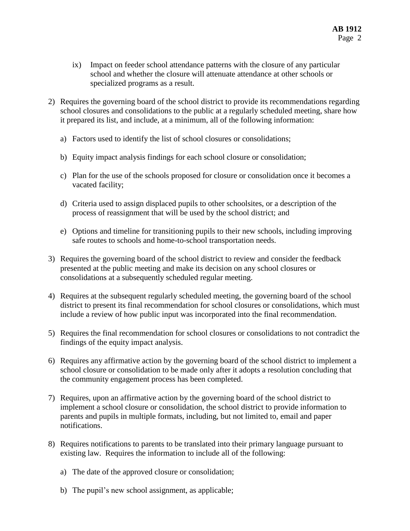- ix) Impact on feeder school attendance patterns with the closure of any particular school and whether the closure will attenuate attendance at other schools or specialized programs as a result.
- 2) Requires the governing board of the school district to provide its recommendations regarding school closures and consolidations to the public at a regularly scheduled meeting, share how it prepared its list, and include, at a minimum, all of the following information:
	- a) Factors used to identify the list of school closures or consolidations;
	- b) Equity impact analysis findings for each school closure or consolidation;
	- c) Plan for the use of the schools proposed for closure or consolidation once it becomes a vacated facility;
	- d) Criteria used to assign displaced pupils to other schoolsites, or a description of the process of reassignment that will be used by the school district; and
	- e) Options and timeline for transitioning pupils to their new schools, including improving safe routes to schools and home-to-school transportation needs.
- 3) Requires the governing board of the school district to review and consider the feedback presented at the public meeting and make its decision on any school closures or consolidations at a subsequently scheduled regular meeting.
- 4) Requires at the subsequent regularly scheduled meeting, the governing board of the school district to present its final recommendation for school closures or consolidations, which must include a review of how public input was incorporated into the final recommendation.
- 5) Requires the final recommendation for school closures or consolidations to not contradict the findings of the equity impact analysis.
- 6) Requires any affirmative action by the governing board of the school district to implement a school closure or consolidation to be made only after it adopts a resolution concluding that the community engagement process has been completed.
- 7) Requires, upon an affirmative action by the governing board of the school district to implement a school closure or consolidation, the school district to provide information to parents and pupils in multiple formats, including, but not limited to, email and paper notifications.
- 8) Requires notifications to parents to be translated into their primary language pursuant to existing law. Requires the information to include all of the following:
	- a) The date of the approved closure or consolidation;
	- b) The pupil's new school assignment, as applicable;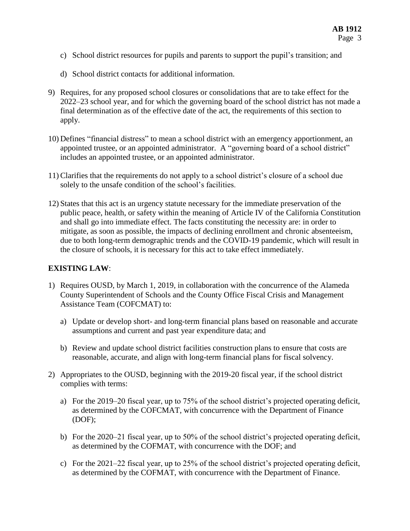- c) School district resources for pupils and parents to support the pupil's transition; and
- d) School district contacts for additional information.
- 9) Requires, for any proposed school closures or consolidations that are to take effect for the 2022–23 school year, and for which the governing board of the school district has not made a final determination as of the effective date of the act, the requirements of this section to apply.
- 10) Defines "financial distress" to mean a school district with an emergency apportionment, an appointed trustee, or an appointed administrator. A "governing board of a school district" includes an appointed trustee, or an appointed administrator.
- 11) Clarifies that the requirements do not apply to a school district's closure of a school due solely to the unsafe condition of the school's facilities.
- 12) States that this act is an urgency statute necessary for the immediate preservation of the public peace, health, or safety within the meaning of Article IV of the California Constitution and shall go into immediate effect. The facts constituting the necessity are: in order to mitigate, as soon as possible, the impacts of declining enrollment and chronic absenteeism, due to both long-term demographic trends and the COVID-19 pandemic, which will result in the closure of schools, it is necessary for this act to take effect immediately.

## **EXISTING LAW**:

- 1) Requires OUSD, by March 1, 2019, in collaboration with the concurrence of the Alameda County Superintendent of Schools and the County Office Fiscal Crisis and Management Assistance Team (COFCMAT) to:
	- a) Update or develop short- and long-term financial plans based on reasonable and accurate assumptions and current and past year expenditure data; and
	- b) Review and update school district facilities construction plans to ensure that costs are reasonable, accurate, and align with long-term financial plans for fiscal solvency.
- 2) Appropriates to the OUSD, beginning with the 2019-20 fiscal year, if the school district complies with terms:
	- a) For the 2019–20 fiscal year, up to 75% of the school district's projected operating deficit, as determined by the COFCMAT, with concurrence with the Department of Finance (DOF);
	- b) For the 2020–21 fiscal year, up to 50% of the school district's projected operating deficit, as determined by the COFMAT, with concurrence with the DOF; and
	- c) For the 2021–22 fiscal year, up to 25% of the school district's projected operating deficit, as determined by the COFMAT, with concurrence with the Department of Finance.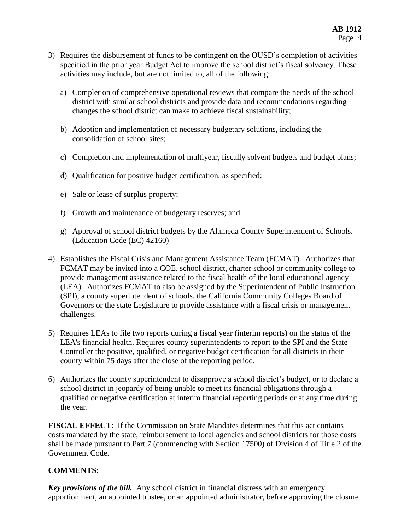- 3) Requires the disbursement of funds to be contingent on the OUSD's completion of activities specified in the prior year Budget Act to improve the school district's fiscal solvency. These activities may include, but are not limited to, all of the following:
	- a) Completion of comprehensive operational reviews that compare the needs of the school district with similar school districts and provide data and recommendations regarding changes the school district can make to achieve fiscal sustainability;
	- b) Adoption and implementation of necessary budgetary solutions, including the consolidation of school sites;
	- c) Completion and implementation of multiyear, fiscally solvent budgets and budget plans;
	- d) Qualification for positive budget certification, as specified;
	- e) Sale or lease of surplus property;
	- f) Growth and maintenance of budgetary reserves; and
	- g) Approval of school district budgets by the Alameda County Superintendent of Schools. (Education Code (EC) 42160)
- 4) Establishes the Fiscal Crisis and Management Assistance Team (FCMAT). Authorizes that FCMAT may be invited into a COE, school district, charter school or community college to provide management assistance related to the fiscal health of the local educational agency (LEA). Authorizes FCMAT to also be assigned by the Superintendent of Public Instruction (SPI), a county superintendent of schools, the California Community Colleges Board of Governors or the state Legislature to provide assistance with a fiscal crisis or management challenges.
- 5) Requires LEAs to file two reports during a fiscal year (interim reports) on the status of the LEA's financial health. Requires county superintendents to report to the SPI and the State Controller the positive, qualified, or negative budget certification for all districts in their county within 75 days after the close of the reporting period.
- 6) Authorizes the county superintendent to disapprove a school district's budget, or to declare a school district in jeopardy of being unable to meet its financial obligations through a qualified or negative certification at interim financial reporting periods or at any time during the year.

**FISCAL EFFECT**: If the Commission on State Mandates determines that this act contains costs mandated by the state, reimbursement to local agencies and school districts for those costs shall be made pursuant to Part 7 (commencing with Section 17500) of Division 4 of Title 2 of the Government Code.

# **COMMENTS**:

*Key provisions of the bill.* Any school district in financial distress with an emergency apportionment, an appointed trustee, or an appointed administrator, before approving the closure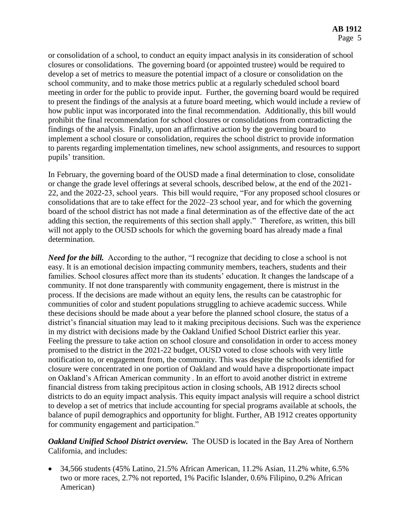or consolidation of a school, to conduct an equity impact analysis in its consideration of school closures or consolidations. The governing board (or appointed trustee) would be required to develop a set of metrics to measure the potential impact of a closure or consolidation on the school community, and to make those metrics public at a regularly scheduled school board meeting in order for the public to provide input. Further, the governing board would be required to present the findings of the analysis at a future board meeting, which would include a review of how public input was incorporated into the final recommendation. Additionally, this bill would prohibit the final recommendation for school closures or consolidations from contradicting the findings of the analysis. Finally, upon an affirmative action by the governing board to implement a school closure or consolidation, requires the school district to provide information to parents regarding implementation timelines, new school assignments, and resources to support pupils' transition.

In February, the governing board of the OUSD made a final determination to close, consolidate or change the grade level offerings at several schools, described below, at the end of the 2021- 22, and the 2022-23, school years. This bill would require, "For any proposed school closures or consolidations that are to take effect for the 2022–23 school year, and for which the governing board of the school district has not made a final determination as of the effective date of the act adding this section, the requirements of this section shall apply." Therefore, as written, this bill will not apply to the OUSD schools for which the governing board has already made a final determination.

*Need for the bill.* According to the author, "I recognize that deciding to close a school is not easy. It is an emotional decision impacting community members, teachers, students and their families. School closures affect more than its students' education. It changes the landscape of a community. If not done transparently with community engagement, there is mistrust in the process. If the decisions are made without an equity lens, the results can be catastrophic for communities of color and student populations struggling to achieve academic success. While these decisions should be made about a year before the planned school closure, the status of a district's financial situation may lead to it making precipitous decisions. Such was the experience in my district with decisions made by the Oakland Unified School District earlier this year. Feeling the pressure to take action on school closure and consolidation in order to access money promised to the district in the 2021-22 budget, OUSD voted to close schools with very little notification to, or engagement from, the community. This was despite the schools identified for closure were concentrated in one portion of Oakland and would have a disproportionate impact on Oakland's African American community . In an effort to avoid another district in extreme financial distress from taking precipitous action in closing schools, AB 1912 directs school districts to do an equity impact analysis. This equity impact analysis will require a school district to develop a set of metrics that include accounting for special programs available at schools, the balance of pupil demographics and opportunity for blight. Further, AB 1912 creates opportunity for community engagement and participation."

*Oakland Unified School District overview.* The OUSD is located in the Bay Area of Northern California, and includes:

 $\bullet$  34,566 students (45% Latino, 21.5% African American, 11.2% Asian, 11.2% white, 6.5% two or more races, 2.7% not reported, 1% Pacific Islander, 0.6% Filipino, 0.2% African American)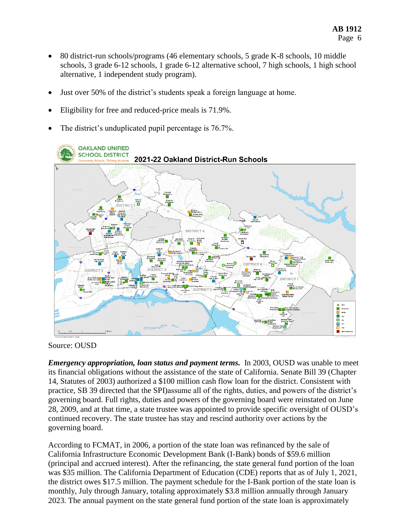- 80 district-run schools/programs (46 elementary schools, 5 grade K-8 schools, 10 middle schools, 3 grade 6-12 schools, 1 grade 6-12 alternative school, 7 high schools, 1 high school alternative, 1 independent study program).
- Just over 50% of the district's students speak a foreign language at home.
- Eligibility for free and reduced-price meals is 71.9%.
- The district's unduplicated pupil percentage is 76.7%.



Source: OUSD

*Emergency appropriation, loan status and payment terms.* In 2003, OUSD was unable to meet its financial obligations without the assistance of the state of California. Senate Bill 39 (Chapter 14, Statutes of 2003) authorized a \$100 million cash flow loan for the district. Consistent with practice, SB 39 directed that the SPI)assume all of the rights, duties, and powers of the district's governing board. Full rights, duties and powers of the governing board were reinstated on June 28, 2009, and at that time, a state trustee was appointed to provide specific oversight of OUSD's continued recovery. The state trustee has stay and rescind authority over actions by the governing board.

According to FCMAT, in 2006, a portion of the state loan was refinanced by the sale of California Infrastructure Economic Development Bank (I-Bank) bonds of \$59.6 million (principal and accrued interest). After the refinancing, the state general fund portion of the loan was \$35 million. The California Department of Education (CDE) reports that as of July 1, 2021, the district owes \$17.5 million. The payment schedule for the I-Bank portion of the state loan is monthly, July through January, totaling approximately \$3.8 million annually through January 2023. The annual payment on the state general fund portion of the state loan is approximately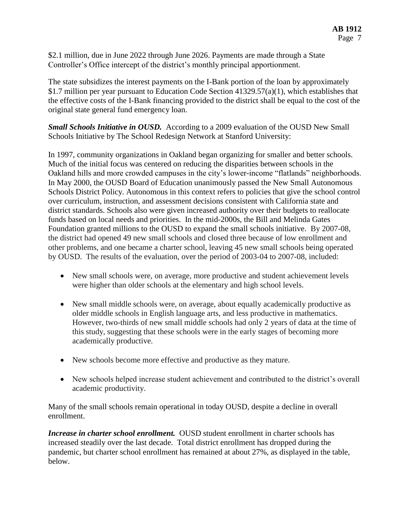\$2.1 million, due in June 2022 through June 2026. Payments are made through a State Controller's Office intercept of the district's monthly principal apportionment.

The state subsidizes the interest payments on the I-Bank portion of the loan by approximately \$1.7 million per year pursuant to Education Code Section 41329.57(a)(1), which establishes that the effective costs of the I-Bank financing provided to the district shall be equal to the cost of the original state general fund emergency loan.

*Small Schools Initiative in OUSD.* According to a 2009 evaluation of the OUSD New Small Schools Initiative by The School Redesign Network at Stanford University:

In 1997, community organizations in Oakland began organizing for smaller and better schools. Much of the initial focus was centered on reducing the disparities between schools in the Oakland hills and more crowded campuses in the city's lower-income "flatlands" neighborhoods. In May 2000, the OUSD Board of Education unanimously passed the New Small Autonomous Schools District Policy. Autonomous in this context refers to policies that give the school control over curriculum, instruction, and assessment decisions consistent with California state and district standards. Schools also were given increased authority over their budgets to reallocate funds based on local needs and priorities. In the mid-2000s, the Bill and Melinda Gates Foundation granted millions to the OUSD to expand the small schools initiative. By 2007-08, the district had opened 49 new small schools and closed three because of low enrollment and other problems, and one became a charter school, leaving 45 new small schools being operated by OUSD. The results of the evaluation, over the period of 2003-04 to 2007-08, included:

- New small schools were, on average, more productive and student achievement levels were higher than older schools at the elementary and high school levels.
- New small middle schools were, on average, about equally academically productive as older middle schools in English language arts, and less productive in mathematics. However, two-thirds of new small middle schools had only 2 years of data at the time of this study, suggesting that these schools were in the early stages of becoming more academically productive.
- New schools become more effective and productive as they mature.
- New schools helped increase student achievement and contributed to the district's overall academic productivity.

Many of the small schools remain operational in today OUSD, despite a decline in overall enrollment.

*Increase in charter school enrollment.* OUSD student enrollment in charter schools has increased steadily over the last decade. Total district enrollment has dropped during the pandemic, but charter school enrollment has remained at about 27%, as displayed in the table, below.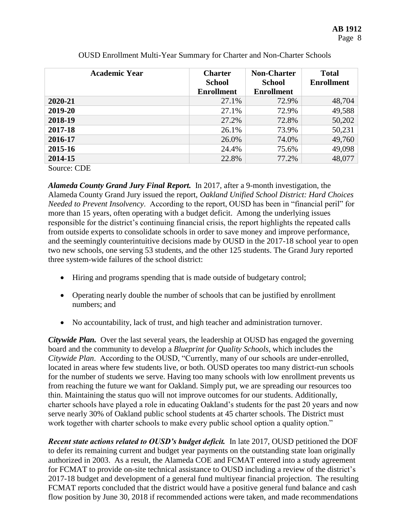| <b>Academic Year</b> | <b>Charter</b><br><b>School</b> | <b>Non-Charter</b><br><b>School</b> | <b>Total</b><br><b>Enrollment</b> |
|----------------------|---------------------------------|-------------------------------------|-----------------------------------|
|                      | <b>Enrollment</b>               | <b>Enrollment</b>                   |                                   |
| 2020-21              | 27.1%                           | 72.9%                               | 48,704                            |
| 2019-20              | 27.1%                           | 72.9%                               | 49,588                            |
| 2018-19              | 27.2%                           | 72.8%                               | 50,202                            |
| 2017-18              | 26.1%                           | 73.9%                               | 50,231                            |
| 2016-17              | 26.0%                           | 74.0%                               | 49,760                            |
| 2015-16              | 24.4%                           | 75.6%                               | 49,098                            |
| 2014-15              | 22.8%                           | 77.2%                               | 48,077                            |
| $\cap$<br>$\sim$     |                                 |                                     |                                   |

OUSD Enrollment Multi-Year Summary for Charter and Non-Charter Schools

Source: CDE

*Alameda County Grand Jury Final Report.* In 2017, after a 9-month investigation, the Alameda County Grand Jury issued the report, *Oakland Unified School District: Hard Choices Needed to Prevent Insolvency*. According to the report, OUSD has been in "financial peril" for more than 15 years, often operating with a budget deficit. Among the underlying issues responsible for the district's continuing financial crisis, the report highlights the repeated calls from outside experts to consolidate schools in order to save money and improve performance, and the seemingly counterintuitive decisions made by OUSD in the 2017-18 school year to open two new schools, one serving 53 students, and the other 125 students. The Grand Jury reported three system-wide failures of the school district:

- Hiring and programs spending that is made outside of budgetary control;
- Operating nearly double the number of schools that can be justified by enrollment numbers; and
- No accountability, lack of trust, and high teacher and administration turnover.

*Citywide Plan.* Over the last several years, the leadership at OUSD has engaged the governing board and the community to develop a *Blueprint for Quality Schools*, which includes the *Citywide Plan*. According to the OUSD, "Currently, many of our schools are under-enrolled, located in areas where few students live, or both. OUSD operates too many district-run schools for the number of students we serve. Having too many schools with low enrollment prevents us from reaching the future we want for Oakland. Simply put, we are spreading our resources too thin. Maintaining the status quo will not improve outcomes for our students. Additionally, charter schools have played a role in educating Oakland's students for the past 20 years and now serve nearly 30% of Oakland public school students at 45 charter schools. The District must work together with charter schools to make every public school option a quality option."

*Recent state actions related to OUSD's budget deficit.* In late 2017, OUSD petitioned the DOF to defer its remaining current and budget year payments on the outstanding state loan originally authorized in 2003. As a result, the Alameda COE and FCMAT entered into a study agreement for FCMAT to provide on-site technical assistance to OUSD including a review of the district's 2017-18 budget and development of a general fund multiyear financial projection. The resulting FCMAT reports concluded that the district would have a positive general fund balance and cash flow position by June 30, 2018 if recommended actions were taken, and made recommendations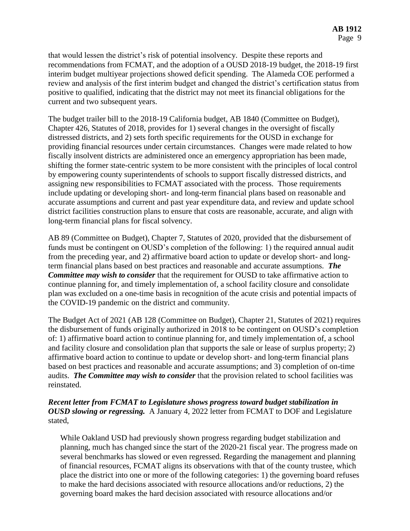that would lessen the district's risk of potential insolvency. Despite these reports and recommendations from FCMAT, and the adoption of a OUSD 2018-19 budget, the 2018-19 first interim budget multiyear projections showed deficit spending. The Alameda COE performed a review and analysis of the first interim budget and changed the district's certification status from positive to qualified, indicating that the district may not meet its financial obligations for the current and two subsequent years.

The budget trailer bill to the 2018-19 California budget, AB 1840 (Committee on Budget), Chapter 426, Statutes of 2018, provides for 1) several changes in the oversight of fiscally distressed districts, and 2) sets forth specific requirements for the OUSD in exchange for providing financial resources under certain circumstances. Changes were made related to how fiscally insolvent districts are administered once an emergency appropriation has been made, shifting the former state-centric system to be more consistent with the principles of local control by empowering county superintendents of schools to support fiscally distressed districts, and assigning new responsibilities to FCMAT associated with the process. Those requirements include updating or developing short- and long-term financial plans based on reasonable and accurate assumptions and current and past year expenditure data, and review and update school district facilities construction plans to ensure that costs are reasonable, accurate, and align with long-term financial plans for fiscal solvency.

AB 89 (Committee on Budget), Chapter 7, Statutes of 2020, provided that the disbursement of funds must be contingent on OUSD's completion of the following: 1) the required annual audit from the preceding year, and 2) affirmative board action to update or develop short- and longterm financial plans based on best practices and reasonable and accurate assumptions. *The Committee may wish to consider* that the requirement for OUSD to take affirmative action to continue planning for, and timely implementation of, a school facility closure and consolidate plan was excluded on a one-time basis in recognition of the acute crisis and potential impacts of the COVID-19 pandemic on the district and community.

The Budget Act of 2021 (AB 128 (Committee on Budget), Chapter 21, Statutes of 2021) requires the disbursement of funds originally authorized in 2018 to be contingent on OUSD's completion of: 1) affirmative board action to continue planning for, and timely implementation of, a school and facility closure and consolidation plan that supports the sale or lease of surplus property; 2) affirmative board action to continue to update or develop short- and long-term financial plans based on best practices and reasonable and accurate assumptions; and 3) completion of on-time audits. *The Committee may wish to consider* that the provision related to school facilities was reinstated.

# *Recent letter from FCMAT to Legislature shows progress toward budget stabilization in OUSD slowing or regressing.* A January 4, 2022 letter from FCMAT to DOF and Legislature stated,

While Oakland USD had previously shown progress regarding budget stabilization and planning, much has changed since the start of the 2020-21 fiscal year. The progress made on several benchmarks has slowed or even regressed. Regarding the management and planning of financial resources, FCMAT aligns its observations with that of the county trustee, which place the district into one or more of the following categories: 1) the governing board refuses to make the hard decisions associated with resource allocations and/or reductions, 2) the governing board makes the hard decision associated with resource allocations and/or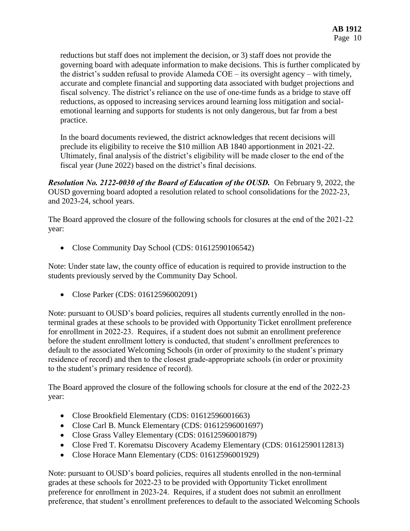reductions but staff does not implement the decision, or 3) staff does not provide the governing board with adequate information to make decisions. This is further complicated by the district's sudden refusal to provide Alameda COE – its oversight agency – with timely, accurate and complete financial and supporting data associated with budget projections and fiscal solvency. The district's reliance on the use of one-time funds as a bridge to stave off reductions, as opposed to increasing services around learning loss mitigation and socialemotional learning and supports for students is not only dangerous, but far from a best practice.

In the board documents reviewed, the district acknowledges that recent decisions will preclude its eligibility to receive the \$10 million AB 1840 apportionment in 2021-22. Ultimately, final analysis of the district's eligibility will be made closer to the end of the fiscal year (June 2022) based on the district's final decisions.

*Resolution No. 2122‐0030 of the Board of Education of the OUSD.* On February 9, 2022, the OUSD governing board adopted a resolution related to school consolidations for the 2022‐23, and 2023‐24, school years.

The Board approved the closure of the following schools for closures at the end of the 2021-22 year:

• Close Community Day School (CDS: 01612590106542)

Note: Under state law, the county office of education is required to provide instruction to the students previously served by the Community Day School.

• Close Parker (CDS: 01612596002091)

Note: pursuant to OUSD's board policies, requires all students currently enrolled in the nonterminal grades at these schools to be provided with Opportunity Ticket enrollment preference for enrollment in 2022-23. Requires, if a student does not submit an enrollment preference before the student enrollment lottery is conducted, that student's enrollment preferences to default to the associated Welcoming Schools (in order of proximity to the student's primary residence of record) and then to the closest grade‐appropriate schools (in order or proximity to the student's primary residence of record).

The Board approved the closure of the following schools for closure at the end of the 2022-23 year:

- Close Brookfield Elementary (CDS: 01612596001663)
- Close Carl B. Munck Elementary (CDS: 01612596001697)
- Close Grass Valley Elementary (CDS: 01612596001879)
- Close Fred T. Korematsu Discovery Academy Elementary (CDS: 01612590112813)
- Close Horace Mann Elementary (CDS: 01612596001929)

Note: pursuant to OUSD's board policies, requires all students enrolled in the non-terminal grades at these schools for 2022‐23 to be provided with Opportunity Ticket enrollment preference for enrollment in 2023‐24. Requires, if a student does not submit an enrollment preference, that student's enrollment preferences to default to the associated Welcoming Schools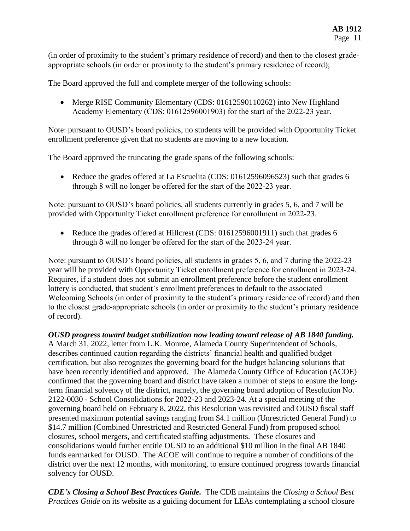(in order of proximity to the student's primary residence of record) and then to the closest grade‐ appropriate schools (in order or proximity to the student's primary residence of record);

The Board approved the full and complete merger of the following schools:

• Merge RISE Community Elementary (CDS: 01612590110262) into New Highland Academy Elementary (CDS: 01612596001903) for the start of the 2022‐23 year.

Note: pursuant to OUSD's board policies, no students will be provided with Opportunity Ticket enrollment preference given that no students are moving to a new location.

The Board approved the truncating the grade spans of the following schools:

• Reduce the grades offered at La Escuelita (CDS: 01612596096523) such that grades 6 through 8 will no longer be offered for the start of the 2022‐23 year.

Note: pursuant to OUSD's board policies, all students currently in grades 5, 6, and 7 will be provided with Opportunity Ticket enrollment preference for enrollment in 2022‐23.

• Reduce the grades offered at Hillcrest (CDS: 01612596001911) such that grades 6 through 8 will no longer be offered for the start of the 2023‐24 year.

Note: pursuant to OUSD's board policies, all students in grades 5, 6, and 7 during the 2022‐23 year will be provided with Opportunity Ticket enrollment preference for enrollment in 2023‐24. Requires, if a student does not submit an enrollment preference before the student enrollment lottery is conducted, that student's enrollment preferences to default to the associated Welcoming Schools (in order of proximity to the student's primary residence of record) and then to the closest grade‐appropriate schools (in order or proximity to the student's primary residence of record).

*OUSD progress toward budget stabilization now leading toward release of AB 1840 funding.*  A March 31, 2022, letter from L.K. Monroe, Alameda County Superintendent of Schools, describes continued caution regarding the districts' financial health and qualified budget certification, but also recognizes the governing board for the budget balancing solutions that have been recently identified and approved. The Alameda County Office of Education (ACOE) confirmed that the governing board and district have taken a number of steps to ensure the longterm financial solvency of the district, namely, the governing board adoption of Resolution No. 2122-0030 - School Consolidations for 2022-23 and 2023-24. At a special meeting of the governing board held on February 8, 2022, this Resolution was revisited and OUSD fiscal staff presented maximum potential savings ranging from \$4.1 million (Unrestricted General Fund) to \$14.7 million (Combined Unrestricted and Restricted General Fund) from proposed school closures, school mergers, and certificated staffing adjustments. These closures and consolidations would further entitle OUSD to an additional \$10 million in the final AB 1840 funds earmarked for OUSD. The ACOE will continue to require a number of conditions of the district over the next 12 months, with monitoring, to ensure continued progress towards financial solvency for OUSD.

*CDE's Closing a School Best Practices Guide.* The CDE maintains the *Closing a School Best Practices Guide* on its website as a guiding document for LEAs contemplating a school closure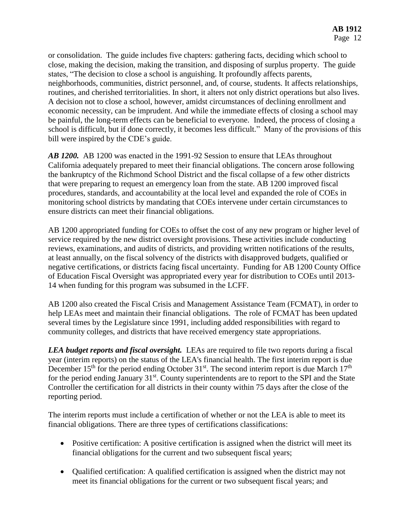or consolidation. The guide includes five chapters: gathering facts, deciding which school to close, making the decision, making the transition, and disposing of surplus property. The guide states, "The decision to close a school is anguishing. It profoundly affects parents, neighborhoods, communities, district personnel, and, of course, students. It affects relationships, routines, and cherished territorialities. In short, it alters not only district operations but also lives. A decision not to close a school, however, amidst circumstances of declining enrollment and economic necessity, can be imprudent. And while the immediate effects of closing a school may be painful, the long-term effects can be beneficial to everyone. Indeed, the process of closing a school is difficult, but if done correctly, it becomes less difficult." Many of the provisions of this bill were inspired by the CDE's guide.

*AB 1200.* AB 1200 was enacted in the 1991-92 Session to ensure that LEAs throughout California adequately prepared to meet their financial obligations. The concern arose following the bankruptcy of the Richmond School District and the fiscal collapse of a few other districts that were preparing to request an emergency loan from the state. AB 1200 improved fiscal procedures, standards, and accountability at the local level and expanded the role of COEs in monitoring school districts by mandating that COEs intervene under certain circumstances to ensure districts can meet their financial obligations.

AB 1200 appropriated funding for COEs to offset the cost of any new program or higher level of service required by the new district oversight provisions. These activities include conducting reviews, examinations, and audits of districts, and providing written notifications of the results, at least annually, on the fiscal solvency of the districts with disapproved budgets, qualified or negative certifications, or districts facing fiscal uncertainty. Funding for AB 1200 County Office of Education Fiscal Oversight was appropriated every year for distribution to COEs until 2013- 14 when funding for this program was subsumed in the LCFF.

AB 1200 also created the Fiscal Crisis and Management Assistance Team (FCMAT), in order to help LEAs meet and maintain their financial obligations. The role of FCMAT has been updated several times by the Legislature since 1991, including added responsibilities with regard to community colleges, and districts that have received emergency state appropriations.

*LEA budget reports and fiscal oversight.* LEAs are required to file two reports during a fiscal year (interim reports) on the status of the LEA's financial health. The first interim report is due December  $15<sup>th</sup>$  for the period ending October  $31<sup>st</sup>$ . The second interim report is due March  $17<sup>th</sup>$ for the period ending January  $31<sup>st</sup>$ . County superintendents are to report to the SPI and the State Controller the certification for all districts in their county within 75 days after the close of the reporting period.

The interim reports must include a certification of whether or not the LEA is able to meet its financial obligations. There are three types of certifications classifications:

- Positive certification: A positive certification is assigned when the district will meet its financial obligations for the current and two subsequent fiscal years;
- Qualified certification: A qualified certification is assigned when the district may not meet its financial obligations for the current or two subsequent fiscal years; and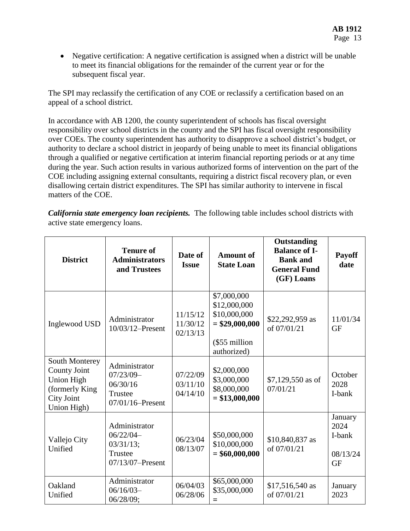• Negative certification: A negative certification is assigned when a district will be unable to meet its financial obligations for the remainder of the current year or for the subsequent fiscal year.

The SPI may reclassify the certification of any COE or reclassify a certification based on an appeal of a school district.

In accordance with AB 1200, the county superintendent of schools has fiscal oversight responsibility over school districts in the county and the SPI has fiscal oversight responsibility over COEs. The county superintendent has authority to disapprove a school district's budget, or authority to declare a school district in jeopardy of being unable to meet its financial obligations through a qualified or negative certification at interim financial reporting periods or at any time during the year. Such action results in various authorized forms of intervention on the part of the COE including assigning external consultants, requiring a district fiscal recovery plan, or even disallowing certain district expenditures. The SPI has similar authority to intervene in fiscal matters of the COE.

*California state emergency loan recipients.* The following table includes school districts with active state emergency loans.

| <b>District</b>                                                                                                  | <b>Tenure of</b><br><b>Administrators</b><br>and Trustees                      | Date of<br><b>Issue</b>          | <b>Amount of</b><br><b>State Loan</b>                                                           | Outstanding<br><b>Balance of I-</b><br><b>Bank</b> and<br><b>General Fund</b><br>(GF) Loans | <b>Payoff</b><br>date                              |
|------------------------------------------------------------------------------------------------------------------|--------------------------------------------------------------------------------|----------------------------------|-------------------------------------------------------------------------------------------------|---------------------------------------------------------------------------------------------|----------------------------------------------------|
| Inglewood USD                                                                                                    | Administrator<br>10/03/12-Present                                              | 11/15/12<br>11/30/12<br>02/13/13 | \$7,000,000<br>\$12,000,000<br>\$10,000,000<br>$=$ \$29,000,000<br>(\$55 million<br>authorized) | \$22,292,959 as<br>of 07/01/21                                                              | 11/01/34<br><b>GF</b>                              |
| South Monterey<br><b>County Joint</b><br><b>Union High</b><br>(formerly King<br><b>City Joint</b><br>Union High) | Administrator<br>$07/23/09-$<br>06/30/16<br>Trustee<br>$07/01/16$ -Present     | 07/22/09<br>03/11/10<br>04/14/10 | \$2,000,000<br>\$3,000,000<br>\$8,000,000<br>$= $13,000,000$                                    | $$7,129,550$ as of<br>07/01/21                                                              | October<br>2028<br>I-bank                          |
| Vallejo City<br>Unified                                                                                          | Administrator<br>$06/22/04-$<br>$03/31/13$ ;<br>Trustee<br>$07/13/07$ -Present | 06/23/04<br>08/13/07             | \$50,000,000<br>\$10,000,000<br>$= $60,000,000$                                                 | \$10,840,837 as<br>of 07/01/21                                                              | January<br>2024<br>I-bank<br>08/13/24<br><b>GF</b> |
| Oakland<br>Unified                                                                                               | Administrator<br>$06/16/03-$<br>06/28/09;                                      | 06/04/03<br>06/28/06             | \$65,000,000<br>\$35,000,000<br>$=$                                                             | \$17,516,540 as<br>of 07/01/21                                                              | January<br>2023                                    |